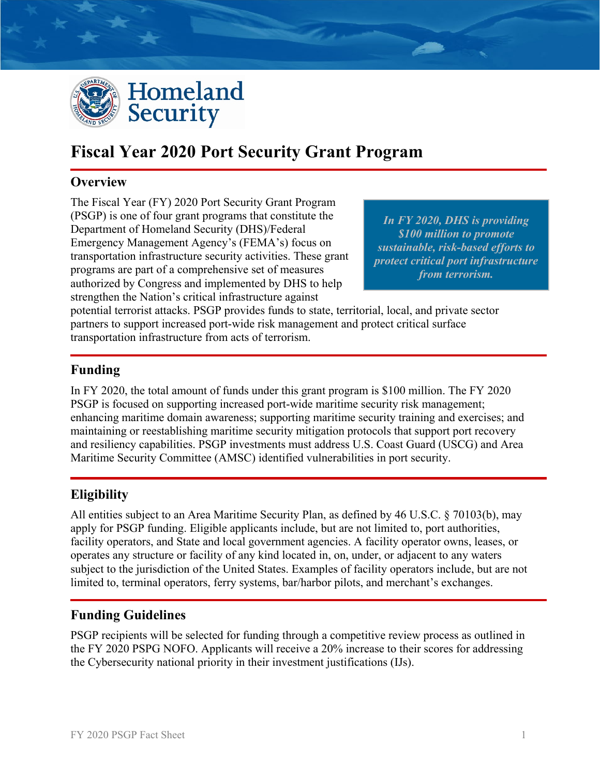

# **Fiscal Year 2020 Port Security Grant Program**

#### **Overview**

The Fiscal Year (FY) 2020 Port Security Grant Program (PSGP) is one of four grant programs that constitute the Department of Homeland Security (DHS)/Federal Emergency Management Agency's (FEMA's) focus on transportation infrastructure security activities. These grant programs are part of a comprehensive set of measures authorized by Congress and implemented by DHS to help strengthen the Nation's critical infrastructure against

*In FY 2020, DHS is providing \$100 million to promote sustainable, risk-based efforts to protect critical port infrastructure from terrorism.* 

potential terrorist attacks. PSGP provides funds to state, territorial, local, and private sector partners to support increased port-wide risk management and protect critical surface transportation infrastructure from acts of terrorism.

#### **Funding**

In FY 2020, the total amount of funds under this grant program is \$100 million. The FY 2020 PSGP is focused on supporting increased port-wide maritime security risk management; enhancing maritime domain awareness; supporting maritime security training and exercises; and maintaining or reestablishing maritime security mitigation protocols that support port recovery and resiliency capabilities. PSGP investments must address U.S. Coast Guard (USCG) and Area Maritime Security Committee (AMSC) identified vulnerabilities in port security.

## **Eligibility**

All entities subject to an Area Maritime Security Plan, as defined by 46 U.S.C. § 70103(b), may apply for PSGP funding. Eligible applicants include, but are not limited to, port authorities, facility operators, and State and local government agencies. A facility operator owns, leases, or operates any structure or facility of any kind located in, on, under, or adjacent to any waters subject to the jurisdiction of the United States. Examples of facility operators include, but are not limited to, terminal operators, ferry systems, bar/harbor pilots, and merchant's exchanges.

## **Funding Guidelines**

PSGP recipients will be selected for funding through a competitive review process as outlined in the FY 2020 PSPG NOFO. Applicants will receive a 20% increase to their scores for addressing the Cybersecurity national priority in their investment justifications (IJs).